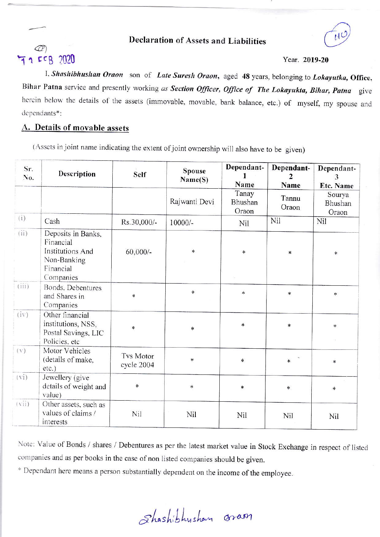#### **Declaration of Assets and Liabilities**



# 72 FCB 2020

#### Year. 2019-20

I, Shashibhushan Oraon son of Late Suresh Oraon, aged 48 years, belonging to Lokayutka, Office, Bihar Patna service and presently working as Section Officer, Office of The Lokayukta, Bihar, Patna give herein below the details of the assets (immovable, movable, bank balance, etc.) of myself, my spouse and dependants\*:

### A. Details of movable assets

(Assets in joint name indicating the extent of joint ownership will also have to be given)

| Sr.<br>No.        | Description                                                                                         | Self                           | <b>Spouse</b><br>Name(S) | Dependant-<br>1<br>Name   | Dependant-<br>$\mathcal{L}$<br>Name | Dependant-<br>3<br>Etc. Name |
|-------------------|-----------------------------------------------------------------------------------------------------|--------------------------------|--------------------------|---------------------------|-------------------------------------|------------------------------|
|                   |                                                                                                     |                                | Rajwanti Devi            | Tanay<br>Bhushan<br>Oraon | Tannu<br>Oraon                      | Sourya<br>Bhushan<br>Oraon   |
| (i)               | Cash                                                                                                | Rs.30,000/-                    | $10000/-$                | Nil                       | Nil                                 | Nil                          |
| (i)               | Deposits in Banks,<br>Financial<br><b>Institutions And</b><br>Non-Banking<br>Financial<br>Companies | $60,000/$ -                    | $*$                      | ¥                         | $\ast$                              | $\ast$                       |
| (iii)             | Bonds, Debentures<br>and Shares in<br>Companies                                                     | $\ast$                         | $\ast$                   | $\ast$                    | $\ast$                              | $\ast$                       |
| (iv)              | Other financial<br>institutions, NSS,<br>Postal Savings, LIC<br>Policies, etc.                      | $\ast$                         | $\ast$                   | $\ast$                    | $\ast$                              | $\ast$                       |
| (V)               | Motor Vehicles<br>(details of make,<br>$etc.$ )                                                     | <b>Tvs Motor</b><br>cycle 2004 | $\ast$                   | $\ast$                    | $\ast$                              | *                            |
| (v <sub>i</sub> ) | Jewellery (give<br>details of weight and<br>value)                                                  | $\ast$                         | $\ast$                   | $\ast$                    | $\ast$                              | $\ast$                       |
| (vii)             | Other assets, such as<br>values of claims /<br>interests                                            | Nil                            | Nil                      | Nil                       | Nil                                 | <b>Nil</b>                   |

Note: Value of Bonds / shares / Debentures as per the latest market value in Stock Exchange in respect of listed companies and as per books in the case of non listed companies should be given.

\* Dependant here means a person substantially dependent on the income of the employee.

Shashibhysham oram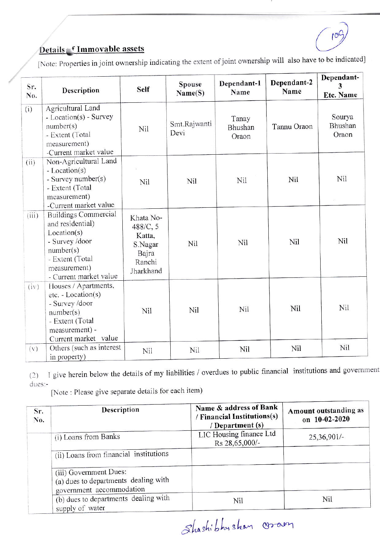$10q$ 

## Details f Immovable assets

[Note: Properties in joint ownership indicating the extent of joint ownership will also have to be indicated]

| Sr.<br>No. | Description                                                                                                                                                | <b>Self</b>                                                                | Spouse<br>Name(S)    | Dependant-1<br>Name       | Dependant-2<br>Name | Dependant-<br>3<br><b>Etc. Name</b> |
|------------|------------------------------------------------------------------------------------------------------------------------------------------------------------|----------------------------------------------------------------------------|----------------------|---------------------------|---------------------|-------------------------------------|
| (i)        | Agricultural Land<br>- Location(s) - Survey<br>number(s)<br>- Extent (Total<br>measurement)<br>-Current market value                                       | Nil                                                                        | Smt.Rajwanti<br>Devi | Tanay<br>Bhushan<br>Oraon | Tannu Oraon         | Sourya<br>Bhushan<br>Oraon          |
| (ii)       | Non-Agricultural Land<br>- Location(s)<br>- Survey number(s)<br>- Extent (Total<br>measurement)<br>-Current market value                                   | Nil                                                                        | Nil                  | Nil                       | Nil                 | Nil                                 |
| (iii)      | <b>Buildings Commercial</b><br>and residential)<br>Location(s)<br>- Survey /door<br>number(s)<br>- Extent (Total<br>measurement)<br>- Current market value | Khata No-<br>488/C, 5<br>Katta,<br>S.Nagar<br>Bajra<br>Ranchi<br>Jharkhand | Nil                  | Nil                       | Nil                 | Nil                                 |
| (iv)       | Houses / Apartments,<br>etc. - Location(s)<br>- Survey /door<br>number(s)<br>- Extent (Total<br>measurement) -<br>Current market value                     | Nil                                                                        | Nil                  | Nil                       | Nil                 | Nil                                 |
| (v)        | Others (such as interest<br>in property)                                                                                                                   | Nil                                                                        | Nil                  | Nil                       | Nil                 | Nil                                 |

(2) I give herein below the details of my liabilities / overdues to public financial institutions and government dues:-

[Note : Please give separate details for each item)

| Sr.<br>No. | Description                                                                                | Name & address of Bank<br>/ Financial Institutions(s)<br>/ Department (s) | Amount outstanding as<br>on 10-02-2020<br>25,36,901/- |  |
|------------|--------------------------------------------------------------------------------------------|---------------------------------------------------------------------------|-------------------------------------------------------|--|
|            | (i) Loans from Banks                                                                       | LIC Housing finance Ltd<br>Rs 28,65,000/-                                 |                                                       |  |
|            | (ii) Loans from financial institutions                                                     |                                                                           |                                                       |  |
|            | (iii) Government Dues:<br>(a) dues to departments dealing with<br>government accommodation |                                                                           |                                                       |  |
|            | (b) dues to departments dealing with<br>supply of water                                    | Nil                                                                       | Nil                                                   |  |

Shashibhyshan coran